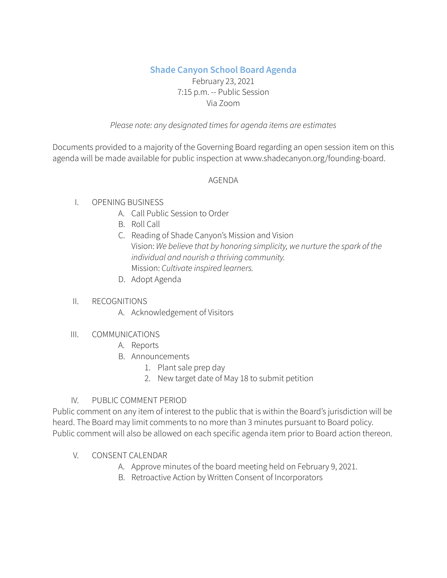# **Shade Canyon School Board Agenda**

## February 23, 2021 7:15 p.m. -- Public Session Via Zoom

#### *Please note: any designated timesfor agenda items are estimates*

Documents provided to a majority of the Governing Board regarding an open session item on this agenda will be made available for public inspection at www.shadecanyon.org/founding-board.

### AGENDA

## I. OPENING BUSINESS

- A. Call Public Session to Order
- B. Roll Call
- C. Reading of Shade Canyon's Mission and Vision Vision: *We believe that by honoring simplicity, we nurture the spark of the individual and nourish a thriving community.* Mission: *Cultivate inspired learners.*
- D. Adopt Agenda

### II. RECOGNITIONS

A. Acknowledgement of Visitors

### III. COMMUNICATIONS

- A. Reports
- B. Announcements
	- 1. Plant sale prep day
	- 2. New target date of May 18 to submit petition

### IV. PUBLIC COMMENT PERIOD

Public comment on any item of interest to the public that is within the Board's jurisdiction will be heard. The Board may limit comments to no more than 3 minutes pursuant to Board policy. Public comment will also be allowed on each specific agenda item prior to Board action thereon.

### V. CONSENT CALENDAR

- A. Approve minutes of the board meeting held on February 9, 2021.
- B. Retroactive Action by Written Consent of Incorporators